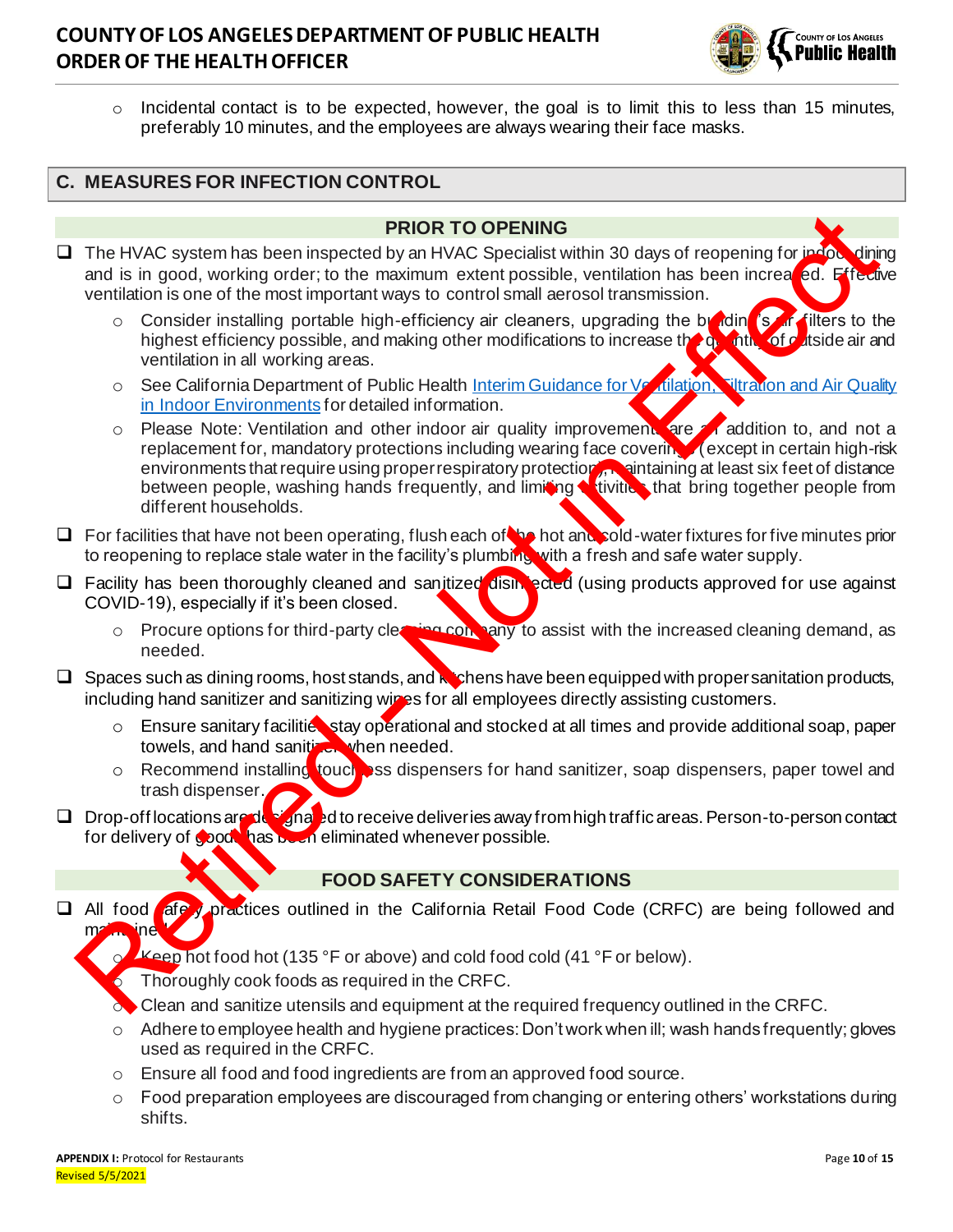# **COUNTY OF LOS ANGELES DEPARTMENT OF PUBLIC HEALTH ORDER OF THE HEALTH OFFICER**



 $\circ$  Incidental contact is to be expected, however, the goal is to limit this to less than 15 minutes, preferably 10 minutes, and the employees are always wearing their face masks.

### **C. MEASURES FOR INFECTION CONTROL**

#### **PRIOR TO OPENING**

- ❑ The HVAC system has been inspected by an HVAC Specialist within 30 days of reopening for indoor dining and is in good, working order; to the maximum extent possible, ventilation has been increated. Effective ventilation is one of the most important ways to control small aerosol transmission.
	- $\circ$  Consider installing portable high-efficiency air cleaners, upgrading the building is an filters to the highest efficiency possible, and making other modifications to increase the quantity of outside air and ventilation in all working areas.
	- o See California Department of Public Health Interim Guidance for Ventilation, Filtration and Air Quality in Indoor Environments for detailed information.
- $\circ$  Please Note: Ventilation and other indoor air quality improvement are an addition to, and not a replacement for, mandatory protections including wearing face covering (except in certain high-risk environments that require using proper respiratory protection, maintaining at least six feet of distance between people, washing hands frequently, and limiting **witching** that bring together people from different households. The HVAC system has been inspected by an HVAC specialis with a 30 days of reopening for inary<br>and is in good, working order, to the maximum extent possible, verifilation is been increased. Encome<br>the maximum extent possib
- □ For facilities that have not been operating, flush each of the hot and sold-water fixtures for five minutes prior to reopening to replace stale water in the facility's plumbing with a fresh and safe water supply.
- □ Facility has been thoroughly cleaned and sanitized disintected (using products approved for use against COVID-19), especially if it's been closed.
	- o Procure options for third-party cleaning conpany to assist with the increased cleaning demand, as needed.
- $\Box$  Spaces such as dining rooms, host stands, and  $\kappa$  shens have been equipped with proper sanitation products, including hand sanitizer and sanitizing wipes for all employees directly assisting customers.
	- $\circ$  Ensure sanitary facilities stay operational and stocked at all times and provide additional soap, paper towels, and hand sanitizer when needed.
	- o Recommend installing touch ass dispensers for hand sanitizer, soap dispensers, paper towel and trash dispenser.
- □ Drop-off locations are designated to receive deliveries away from high traffic areas. Person-to-person contact for delivery of goods has been eliminated whenever possible.

### **FOOD SAFETY CONSIDERATIONS**

- □ All food afe y practices outlined in the California Retail Food Code (CRFC) are being followed and  $m<sub>2</sub>$  ined.
	- Keep hot food hot (135 °F or above) and cold food cold (41 °F or below).
	- Thoroughly cook foods as required in the CRFC.
	- o Clean and sanitize utensils and equipment at the required frequency outlined in the CRFC.
	- $\circ$  Adhere to employee health and hygiene practices: Don't work when ill; wash hands frequently; gloves used as required in the CRFC.
	- $\circ$  Ensure all food and food ingredients are from an approved food source.
	- $\circ$  Food preparation employees are discouraged from changing or entering others' workstations during shifts.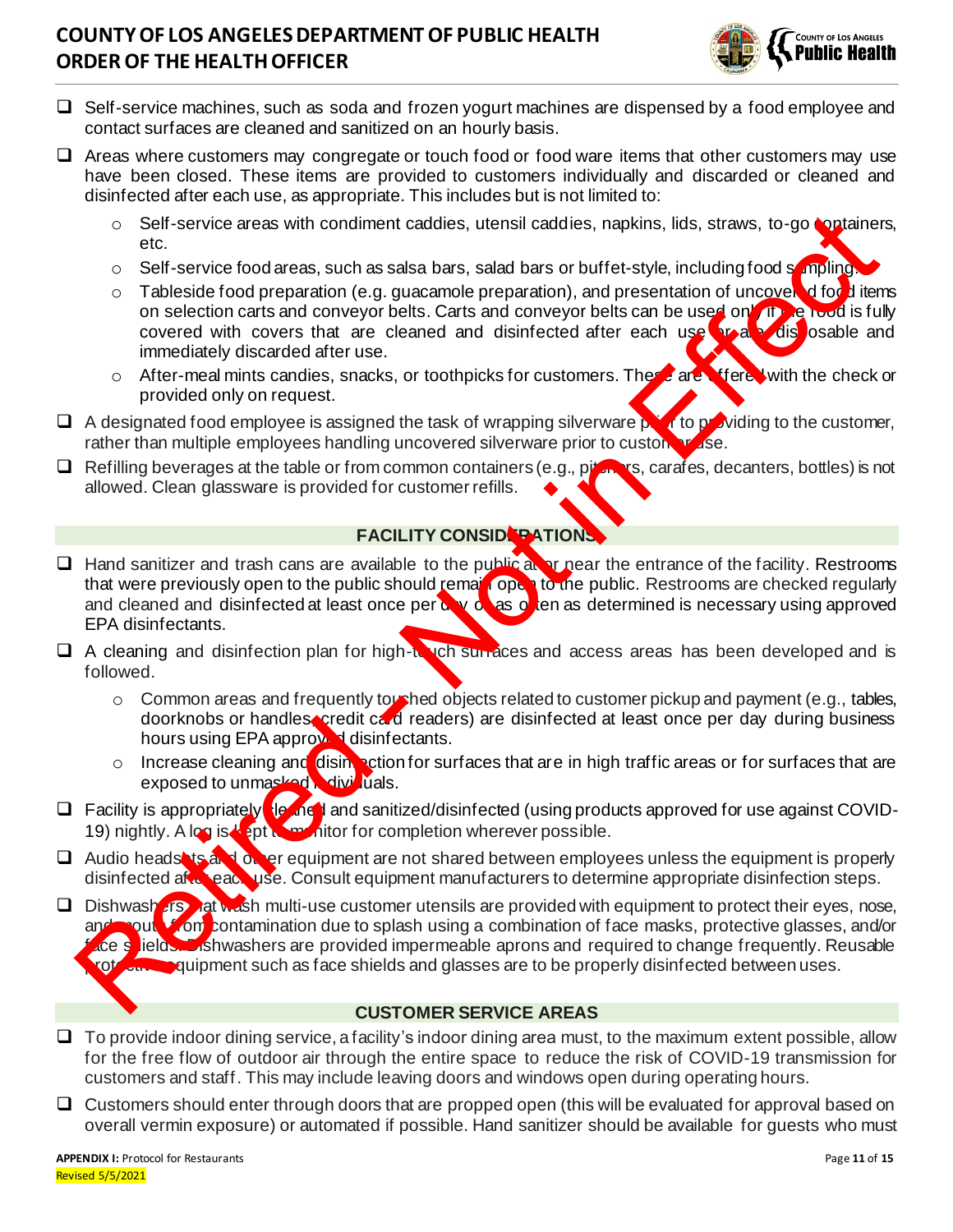# **COUNTY OF LOS ANGELES DEPARTMENT OF PUBLIC HEALTH ORDER OF THE HEALTH OFFICER**



- ❑ Self-service machines, such as soda and frozen yogurt machines are dispensed by a food employee and contact surfaces are cleaned and sanitized on an hourly basis.
- □ Areas where customers may congregate or touch food or food ware items that other customers may use have been closed. These items are provided to customers individually and discarded or cleaned and disinfected after each use, as appropriate. This includes but is not limited to:
	- o Self-service areas with condiment caddies, utensil caddies, napkins, lids, straws, to-go containers, etc.
	- o Self-service food areas, such as salsa bars, salad bars or buffet-style, including food sompling.
	- $\circ$  Tableside food preparation (e.g. guacamole preparation), and presentation of uncovered of odd items on selection carts and conveyor belts. Carts and conveyor belts can be used on the read is fully covered with covers that are cleaned and disinfected after each use  $\sqrt{r}$  and  $\sqrt{r}$  disposable and immediately discarded after use.
	- $\circ$  After-meal mints candies, snacks, or toothpicks for customers. These are offered with the check or provided only on request.
- □ A designated food employee is assigned the task of wrapping silverware prior to providing to the customer, rather than multiple employees handling uncovered silverware prior to custom  $\mathbf{v}$  ase.
- $\Box$  Refilling beverages at the table or from common containers (e.g., pitchers, carafes, decanters, bottles) is not allowed. Clean glassware is provided for customer refills.

#### **FACILITY CONSIDERATIONS**

- □ Hand sanitizer and trash cans are available to the public at or near the entrance of the facility. Restrooms that were previously open to the public should remain open to the public. Restrooms are checked regularly and cleaned and disinfected at least once per  $\alpha \vee \alpha$  as  $\alpha$  ien as determined is necessary using approved EPA disinfectants.
- $\Box$  A cleaning and disinfection plan for high-to och surfaces and access areas has been developed and is followed.
	- o Common areas and frequently toushed objects related to customer pickup and payment (e.g., tables, doorknobs or handles, credit card readers) are disinfected at least once per day during business hours using EPA approved disinfectants.
	- o Increase cleaning and disimpetion for surfaces that are in high traffic areas or for surfaces that are exposed to unmasked individuals.
- □ Facility is appropriately  $\log$  net and sanitized/disinfected (using products approved for use against COVID-19) nightly. A log is kept to monitor for completion wherever possible.
- □ Audio headsets and on er equipment are not shared between employees unless the equipment is properly disinfected after each use. Consult equipment manufacturers to determine appropriate disinfection steps.
- □ Dishwash ars hat wash multi-use customer utensils are provided with equipment to protect their eyes, nose, and mouth from contamination due to splash using a combination of face masks, protective glasses, and/or ace shields. Dishwashers are provided impermeable aprons and required to change frequently. Reusable rot care quipment such as face shields and glasses are to be properly disinfected between uses. Set experience areas with condition at each as the sixtensit external is a provided on the same state and bases on the distribution food areas with contents and convey the best cars and convey of better-style, including fo

#### **CUSTOMER SERVICE AREAS**

- $\Box$  To provide indoor dining service, a facility's indoor dining area must, to the maximum extent possible, allow for the free flow of outdoor air through the entire space to reduce the risk of COVID-19 transmission for customers and staff. This may include leaving doors and windows open during operating hours.
- □ Customers should enter through doors that are propped open (this will be evaluated for approval based on overall vermin exposure) or automated if possible. Hand sanitizer should be available for guests who must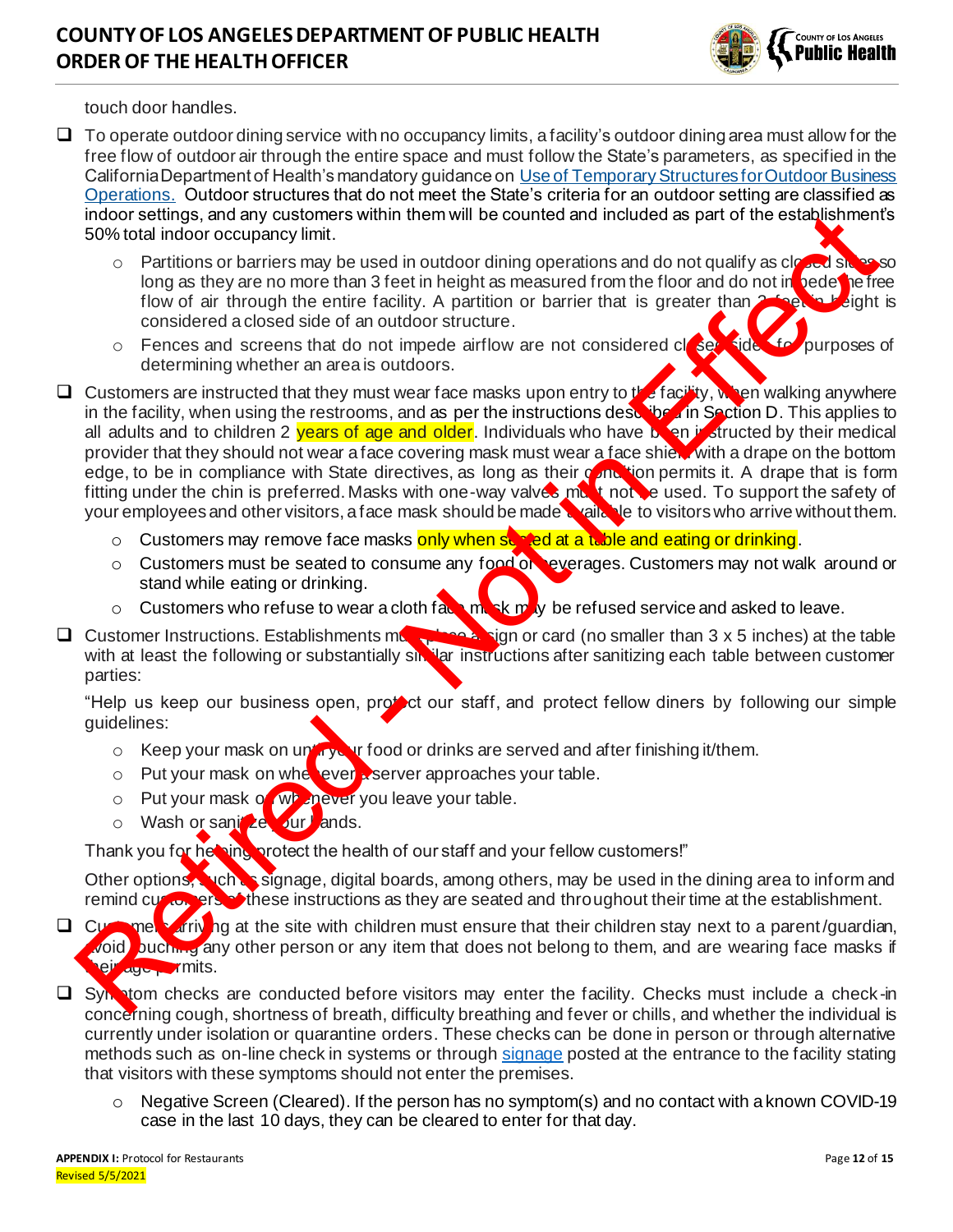

touch door handles.

- $\Box$  To operate outdoor dining service with no occupancy limits, a facility's outdoor dining area must allow for the free flow of outdoor air through the entire space and must follow the State's parameters, as specified in the California Department of Health's mandatory guidance on [Use of Temporary Structures for Outdoor Business](https://www.cdph.ca.gov/Programs/CID/DCDC/Pages/COVID-19/Use-of-Temporary-Structures-for-Outdoor-Business-Operations.aspx)  [Operations.](https://www.cdph.ca.gov/Programs/CID/DCDC/Pages/COVID-19/Use-of-Temporary-Structures-for-Outdoor-Business-Operations.aspx) Outdoor structures that do not meet the State's criteria for an outdoor setting are classified as indoor settings, and any customers within them will be counted and included as part of the establishment's 50% total indoor occupancy limit.
	- $\circ$  Partitions or barriers may be used in outdoor dining operations and do not qualify as closed sides so long as they are no more than 3 feet in height as measured from the floor and do not in bedetine free flow of air through the entire facility. A partition or barrier that is greater than 2 feet in height is considered a closed side of an outdoor structure.
	- $\circ$  Fences and screens that do not impede airflow are not considered closed side. For purposes of determining whether an area is outdoors.
- □ Customers are instructed that they must wear face masks upon entry to the facility, when walking anywhere in the facility, when using the restrooms, and as per the instructions described in Section D. This applies to all adults and to children 2 years of age and older. Individuals who have been instructed by their medical provider that they should not wear a face covering mask must wear a face shield with a drape on the bottom edge, to be in compliance with State directives, as long as their condition permits it. A drape that is form fitting under the chin is preferred. Masks with one-way valves must not be used. To support the safety of your employees and other visitors, a face mask should be made a vailable to visitors who arrive without them. ndors are any towards and will be counted and included as part of the establishment<br>
For Stock indoor occupancy limt.<br>
Constitute the proportion and on occupancy limt.<br>
Constitute of the proportion and on to tradition of t
	- o Customers may remove face masks only when stanted at a table and eating or drinking.
	- o Customers must be seated to consume any food or everages. Customers may not walk around or stand while eating or drinking.
	- $\circ$  Customers who refuse to wear a cloth fact mask may be refused service and asked to leave.
- □ Customer Instructions. Establishments must place a sign or card (no smaller than 3 x 5 inches) at the table with at least the following or substantially sinilar instructions after sanitizing each table between customer parties:

"Help us keep our business open, protoct our staff, and protect fellow diners by following our simple guidelines:

- $\circ$  Keep your mask on until your food or drinks are served and after finishing it/them.
- $\circ$  Put your mask on when ever a server approaches your table.
- o Put your mask on whenever you leave your table.
- o Wash or sanitize yur lands.

Thank you for helping protect the health of our staff and your fellow customers!"

Other options, such as signage, digital boards, among others, may be used in the dining area to inform and remind customers of these instructions as they are seated and throughout their time at the establishment.

- □ Customers arriving at the site with children must ensure that their children stay next to a parent/guardian, void buching any other person or any item that does not belong to them, and are wearing face masks if their age permits.
- □ Symptom checks are conducted before visitors may enter the facility. Checks must include a check-in concerning cough, shortness of breath, difficulty breathing and fever or chills, and whether the individual is currently under isolation or quarantine orders. These checks can be done in person or through alternative methods such as on-line check in systems or throug[h signage](http://publichealth.lacounty.gov/media/Coronavirus/docs/business/NoticeToCustomers.pdf) posted at the entrance to the facility stating that visitors with these symptoms should not enter the premises.
	- $\circ$  Negative Screen (Cleared). If the person has no symptom(s) and no contact with a known COVID-19 case in the last 10 days, they can be cleared to enter for that day.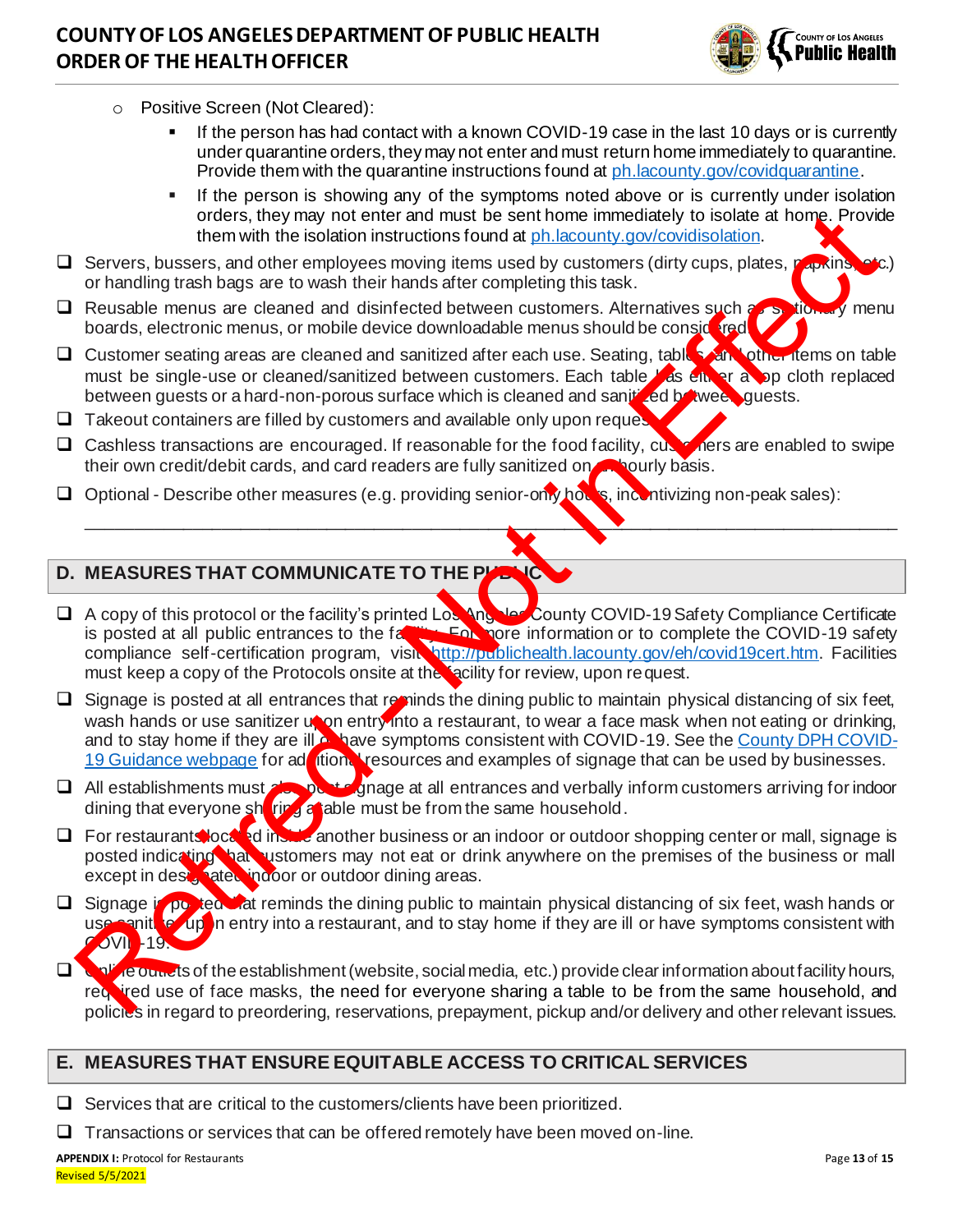

- o Positive Screen (Not Cleared):
	- If the person has had contact with a known COVID-19 case in the last 10 days or is currently under quarantine orders, they may not enter and must return home immediately to quarantine. Provide them with the quarantine instructions found a[t ph.lacounty.gov/covidquarantine](http://ph.lacounty.gov/covidquarantine).
	- If the person is showing any of the symptoms noted above or is currently under isolation orders, they may not enter and must be sent home immediately to isolate at home. Provide them with the isolation instructions found at ph.lacounty.gov/covidisolation.
- □ Servers, bussers, and other employees moving items used by customers (dirty cups, plates, papkins, or handling trash bags are to wash their hands after completing this task.
- □ Reusable menus are cleaned and disinfected between customers. Alternatives such as stidenty menu boards, electronic menus, or mobile device downloadable menus should be considered.
- □ Customer seating areas are cleaned and sanitized after each use. Seating, tables, and other items on table must be single-use or cleaned/sanitized between customers. Each table has either a op cloth replaced between guests or a hard-non-porous surface which is cleaned and sanitized between quests.
- $\Box$  Takeout containers are filled by customers and available only upon request.
- □ Cashless transactions are encouraged. If reasonable for the food facility, customers are enabled to swipe their own credit/debit cards, and card readers are fully sanitized on **an hourly basis.**

\_\_\_\_\_\_\_\_\_\_\_\_\_\_\_\_\_\_\_\_\_\_\_\_\_\_\_\_\_\_\_\_\_\_\_\_\_\_\_\_\_\_\_\_\_\_\_\_\_\_\_\_\_\_\_\_\_\_\_\_\_\_\_\_\_\_\_\_\_\_\_\_\_\_\_\_\_\_\_\_\_\_\_\_\_

❑ Optional - Describe other measures (e.g. providing senior-only hours, incentivizing non-peak sales):

## **D. MEASURES THAT COMMUNICATE TO THE PUBLIC**

- □ A copy of this protocol or the facility's printed Los Angeles County COVID-19 Safety Compliance Certificate<br>is posted at all public entrances to the father Form formation or to complete the COVID-19 safety **For facilitate at all public entrances to the facility. For more information or to complete the COVID-19 safety** compliance self-certification program, visit http://publichealth.lacounty.gov/eh/covid19cert.htm. Facilities must keep a copy of the Protocols onsite at the racility for review, upon request.
- $\Box$  Signage is posted at all entrances that reminds the dining public to maintain physical distancing of six feet, wash hands or use sanitizer upon entry into a restaurant, to wear a face mask when not eating or drinking, and to stay home if they are ill or have symptoms consistent with COVID-19. See the County DPH COVID-19 Guidance webpage for ad tion. resources and examples of signage that can be used by businesses. of this primary not th[e](http://publichealth.lacounty.gov/media/Coronavirus/guidances.htm#business)re and must be sent home limited by the base and the sense, and other and must be sense and by the must be sense and the must be sense and the must be a sense and the must be a sense of the must be b
- □ All establishments must also post signage at all entrances and verbally inform customers arriving for indoor dining that everyone sharing a able must be from the same household.
- □ For restaurants located instance another business or an indoor or outdoor shopping center or mall, signage is posted indicating hat customers may not eat or drink anywhere on the premises of the business or mall except in designated indoor or outdoor dining areas.
- □ Signage is posted that reminds the dining public to maintain physical distancing of six feet, wash hands or use sanitive upon entry into a restaurant, and to stay home if they are ill or have symptoms consistent with **OVII** - 19.
- □ Online outlets of the establishment (website, social media, etc.) provide clear information about facility hours, required use of face masks, the need for everyone sharing a table to be from the same household, and policies in regard to preordering, reservations, prepayment, pickup and/or delivery and other relevant issues.

### **E. MEASURES THAT ENSURE EQUITABLE ACCESS TO CRITICAL SERVICES**

❑ Services that are critical to the customers/clients have been prioritized.

❑ Transactions or services that can be offered remotely have been moved on-line.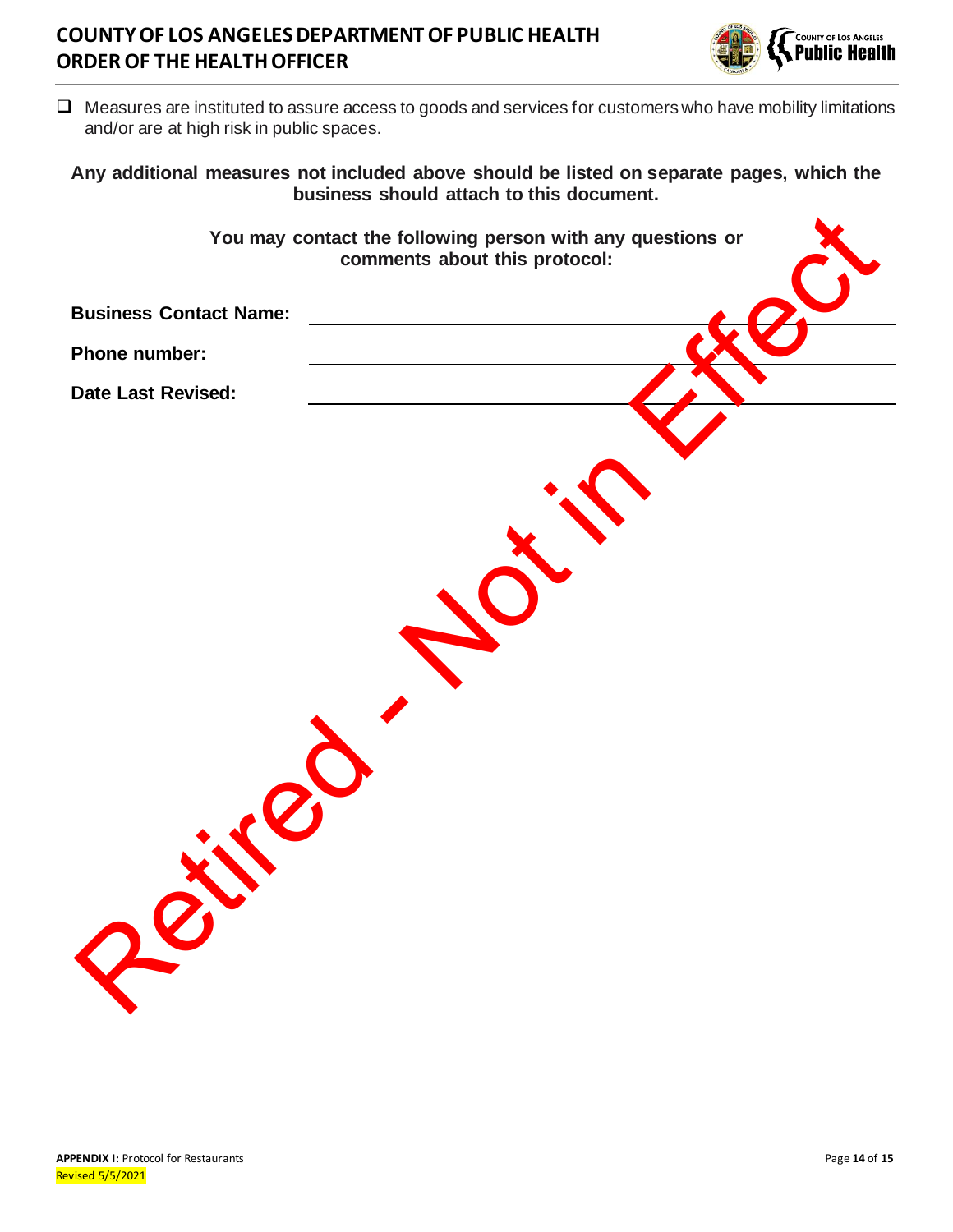## **COUNTY OF LOS ANGELES DEPARTMENT OF PUBLIC HEALTH ORDER OF THE HEALTH OFFICER**



❑ Measures are instituted to assure access to goods and services for customers who have mobility limitations and/or are at high risk in public spaces.

#### **Any additional measures not included above should be listed on separate pages, which the business should attach to this document.**

|                               | You may contact the following person with any questions or<br>comments about this protocol: |  |
|-------------------------------|---------------------------------------------------------------------------------------------|--|
| <b>Business Contact Name:</b> |                                                                                             |  |
| Phone number:                 |                                                                                             |  |
| <b>Date Last Revised:</b>     |                                                                                             |  |
|                               |                                                                                             |  |
|                               |                                                                                             |  |
|                               |                                                                                             |  |
| R                             |                                                                                             |  |